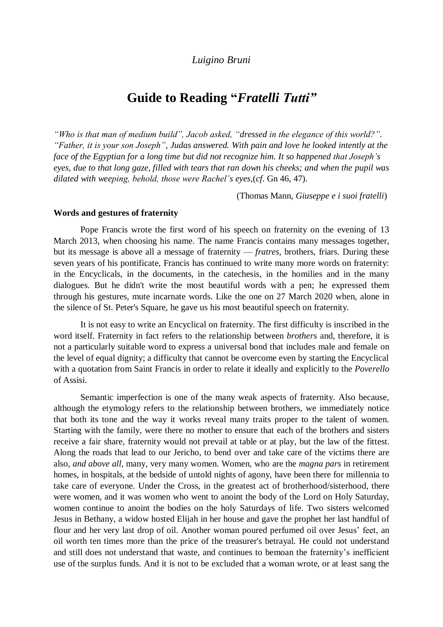# *Luigino Bruni*

# **Guide to Reading "***Fratelli Tutti"*

*"Who is that man of medium build", Jacob asked, "dressed in the elegance of this world?". "Father, it is your son Joseph", Judas answered. With pain and love he looked intently at the face of the Egyptian for a long time but did not recognize him. It so happened that Joseph's eyes, due to that long gaze, filled with tears that ran down his cheeks; and when the pupil was dilated with weeping, behold, those were Rachel's eyes,*(*cf.* Gn 46, 47).

(Thomas Mann, *Giuseppe e i suoi fratelli*)

#### **Words and gestures of fraternity**

Pope Francis wrote the first word of his speech on fraternity on the evening of 13 March 2013, when choosing his name. The name Francis contains many messages together, but its message is above all a message of fraternity — *fratres*, brothers, friars. During these seven years of his pontificate, Francis has continued to write many more words on fraternity: in the Encyclicals, in the documents, in the catechesis, in the homilies and in the many dialogues. But he didn't write the most beautiful words with a pen; he expressed them through his gestures, mute incarnate words. Like the one on 27 March 2020 when, alone in the silence of St. Peter's Square, he gave us his most beautiful speech on fraternity.

It is not easy to write an Encyclical on fraternity. The first difficulty is inscribed in the word itself. Fraternity in fact refers to the relationship between *brothers* and, therefore, it is not a particularly suitable word to express a universal bond that includes male and female on the level of equal dignity; a difficulty that cannot be overcome even by starting the Encyclical with a quotation from Saint Francis in order to relate it ideally and explicitly to the *Poverello* of Assisi.

Semantic imperfection is one of the many weak aspects of fraternity. Also because, although the etymology refers to the relationship between brothers, we immediately notice that both its tone and the way it works reveal many traits proper to the talent of women. Starting with the family, were there no mother to ensure that each of the brothers and sisters receive a fair share, fraternity would not prevail at table or at play, but the law of the fittest. Along the roads that lead to our Jericho, to bend over and take care of the victims there are also, *and above all*, many, very many women. Women, who are the *magna pars* in retirement homes, in hospitals, at the bedside of untold nights of agony, have been there for millennia to take care of everyone. Under the Cross, in the greatest act of brotherhood/sisterhood, there were women, and it was women who went to anoint the body of the Lord on Holy Saturday, women continue to anoint the bodies on the holy Saturdays of life. Two sisters welcomed Jesus in Bethany, a widow hosted Elijah in her house and gave the prophet her last handful of flour and her very last drop of oil. Another woman poured perfumed oil over Jesus' feet, an oil worth ten times more than the price of the treasurer's betrayal. He could not understand and still does not understand that waste, and continues to bemoan the fraternity's inefficient use of the surplus funds. And it is not to be excluded that a woman wrote, or at least sang the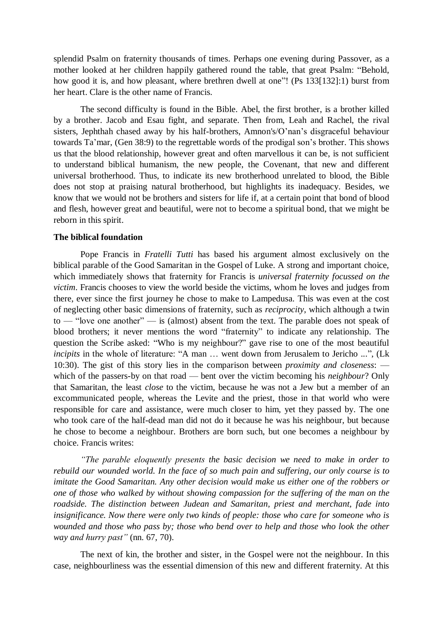splendid Psalm on fraternity thousands of times. Perhaps one evening during Passover, as a mother looked at her children happily gathered round the table, that great Psalm: "Behold, how good it is, and how pleasant, where brethren dwell at one"! (Ps 133[132]:1) burst from her heart. Clare is the other name of Francis.

The second difficulty is found in the Bible. Abel, the first brother, is a brother killed by a brother. Jacob and Esau fight, and separate. Then from, Leah and Rachel, the rival sisters, Jephthah chased away by his half-brothers, Amnon's/O'nan's disgraceful behaviour towards Ta'mar, (Gen 38:9) to the regrettable words of the prodigal son's brother. This shows us that the blood relationship, however great and often marvellous it can be, is not sufficient to understand biblical humanism, the new people, the Covenant, that new and different universal brotherhood. Thus, to indicate its new brotherhood unrelated to blood, the Bible does not stop at praising natural brotherhood, but highlights its inadequacy. Besides, we know that we would not be brothers and sisters for life if, at a certain point that bond of blood and flesh, however great and beautiful, were not to become a spiritual bond, that we might be reborn in this spirit.

#### **The biblical foundation**

Pope Francis in *Fratelli Tutti* has based his argument almost exclusively on the biblical parable of the Good Samaritan in the Gospel of Luke. A strong and important choice, which immediately shows that fraternity for Francis is *universal fraternity focussed on the victim*. Francis chooses to view the world beside the victims, whom he loves and judges from there, ever since the first journey he chose to make to Lampedusa. This was even at the cost of neglecting other basic dimensions of fraternity, such as *reciprocity*, which although a twin to — "love one another" — is (almost) absent from the text. The parable does not speak of blood brothers; it never mentions the word "fraternity" to indicate any relationship. The question the Scribe asked: "Who is my neighbour?" gave rise to one of the most beautiful *incipits* in the whole of literature: "A man ... went down from Jerusalem to Jericho ...", (Lk 10:30). The gist of this story lies in the comparison between *proximity and closeness*: which of the passers-by on that road — bent over the victim becoming his *neighbour*? Only that Samaritan, the least *close* to the victim, because he was not a Jew but a member of an excommunicated people, whereas the Levite and the priest, those in that world who were responsible for care and assistance, were much closer to him, yet they passed by. The one who took care of the half-dead man did not do it because he was his neighbour, but because he chose to become a neighbour. Brothers are born such, but one becomes a neighbour by choice. Francis writes:

*"The parable eloquently presents the basic decision we need to make in order to rebuild our wounded world. In the face of so much pain and suffering, our only course is to imitate the Good Samaritan. Any other decision would make us either one of the robbers or one of those who walked by without showing compassion for the suffering of the man on the roadside. The distinction between Judean and Samaritan, priest and merchant, fade into insignificance. Now there were only two kinds of people: those who care for someone who is wounded and those who pass by; those who bend over to help and those who look the other way and hurry past"* (nn. 67, 70).

The next of kin, the brother and sister, in the Gospel were not the neighbour. In this case, neighbourliness was the essential dimension of this new and different fraternity. At this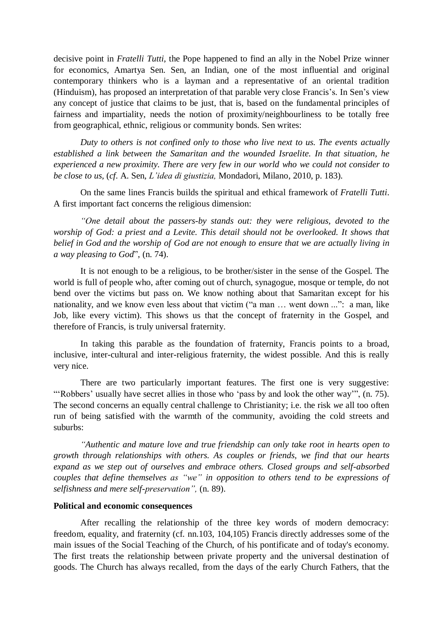decisive point in *Fratelli Tutti*, the Pope happened to find an ally in the Nobel Prize winner for economics, Amartya Sen. Sen, an Indian, one of the most influential and original contemporary thinkers who is a layman and a representative of an oriental tradition (Hinduism), has proposed an interpretation of that parable very close Francis's. In Sen's view any concept of justice that claims to be just, that is, based on the fundamental principles of fairness and impartiality, needs the notion of proximity/neighbourliness to be totally free from geographical, ethnic, religious or community bonds. Sen writes:

*Duty to others is not confined only to those who live next to us. The events actually established a link between the Samaritan and the wounded Israelite. In that situation, he experienced a new proximity. There are very few in our world who we could not consider to be close to us,* (*cf.* A. Sen, *L'idea di giustizia,* Mondadori, Milano, 2010, p. 183).

On the same lines Francis builds the spiritual and ethical framework of *Fratelli Tutti*. A first important fact concerns the religious dimension:

*"One detail about the passers-by stands out: they were religious, devoted to the worship of God: a priest and a Levite. This detail should not be overlooked. It shows that belief in God and the worship of God are not enough to ensure that we are actually living in a way pleasing to God*", (n. 74).

It is not enough to be a religious, to be brother/sister in the sense of the Gospel. The world is full of people who, after coming out of church, synagogue, mosque or temple, do not bend over the victims but pass on. We know nothing about that Samaritan except for his nationality, and we know even less about that victim ("a man … went down ...": a man, like Job, like every victim). This shows us that the concept of fraternity in the Gospel, and therefore of Francis, is truly universal fraternity.

In taking this parable as the foundation of fraternity, Francis points to a broad, inclusive, inter-cultural and inter-religious fraternity, the widest possible. And this is really very nice.

There are two particularly important features. The first one is very suggestive: "'Robbers' usually have secret allies in those who 'pass by and look the other way'", (n. 75). The second concerns an equally central challenge to Christianity; i.e. the risk *we* all too often run of being satisfied with the warmth of the community, avoiding the cold streets and suburbs:

*"Authentic and mature love and true friendship can only take root in hearts open to growth through relationships with others. As couples or friends, we find that our hearts expand as we step out of ourselves and embrace others. Closed groups and self-absorbed couples that define themselves as "we" in opposition to others tend to be expressions of selfishness and mere self-preservation",* (n. 89).

#### **Political and economic consequences**

After recalling the relationship of the three key words of modern democracy: freedom, equality, and fraternity (cf. nn.103, 104,105) Francis directly addresses some of the main issues of the Social Teaching of the Church, of his pontificate and of today's economy. The first treats the relationship between private property and the universal destination of goods. The Church has always recalled, from the days of the early Church Fathers, that the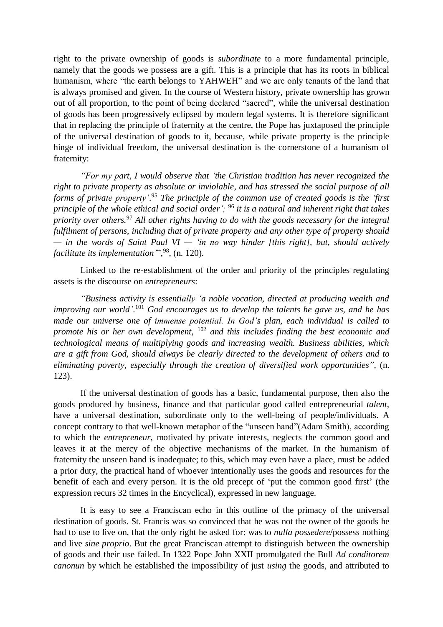right to the private ownership of goods is *subordinate* to a more fundamental principle, namely that the goods we possess are a gift. This is a principle that has its roots in biblical humanism, where "the earth belongs to YAHWEH" and we are only tenants of the land that is always promised and given. In the course of Western history, private ownership has grown out of all proportion, to the point of being declared "sacred", while the universal destination of goods has been progressively eclipsed by modern legal systems. It is therefore significant that in replacing the principle of fraternity at the centre, the Pope has juxtaposed the principle of the universal destination of goods to it, because, while private property is the principle hinge of individual freedom, the universal destination is the cornerstone of a humanism of fraternity:

*"For my part, I would observe that 'the Christian tradition has never recognized the right to private property as absolute or inviolable, and has stressed the social purpose of all forms of private property'*. <sup>95</sup> *The principle of the common use of created goods is the 'first principle of the whole ethical and social order';* <sup>96</sup> *it is a natural and inherent right that takes priority over others.*<sup>97</sup> *All other rights having to do with the goods necessary for the integral fulfilment of persons, including that of private property and any other type of property should — in the words of Saint Paul VI — 'in no way hinder [this right], but, should actively facilitate its implementation'*", 98 *,* (n. 120).

Linked to the re-establishment of the order and priority of the principles regulating assets is the discourse on *entrepreneurs*:

*"Business activity is essentially 'a noble vocation, directed at producing wealth and improving our world'*. <sup>101</sup> *God encourages us to develop the talents he gave us, and he has made our universe one of immense potential. In God's plan, each individual is called to promote his or her own development,* <sup>102</sup> *and this includes finding the best economic and technological means of multiplying goods and increasing wealth. Business abilities, which are a gift from God, should always be clearly directed to the development of others and to eliminating poverty, especially through the creation of diversified work opportunities",* (n. 123).

If the universal destination of goods has a basic, fundamental purpose, then also the goods produced by business, finance and that particular good called entrepreneurial *talent,*  have a universal destination, subordinate only to the well-being of people/individuals. A concept contrary to that well-known metaphor of the "unseen hand"(Adam Smith), according to which the *entrepreneur*, motivated by private interests, neglects the common good and leaves it at the mercy of the objective mechanisms of the market. In the humanism of fraternity the unseen hand is inadequate; to this, which may even have a place, must be added a prior duty, the practical hand of whoever intentionally uses the goods and resources for the benefit of each and every person. It is the old precept of 'put the common good first' (the expression recurs 32 times in the Encyclical), expressed in new language.

It is easy to see a Franciscan echo in this outline of the primacy of the universal destination of goods. St. Francis was so convinced that he was not the owner of the goods he had to use to live on, that the only right he asked for: was to *nulla possedere*/possess nothing and live *sine proprio*. But the great Franciscan attempt to distinguish between the ownership of goods and their use failed. In 1322 Pope John XXII promulgated the Bull *Ad conditorem canonun* by which he established the impossibility of just *using* the goods, and attributed to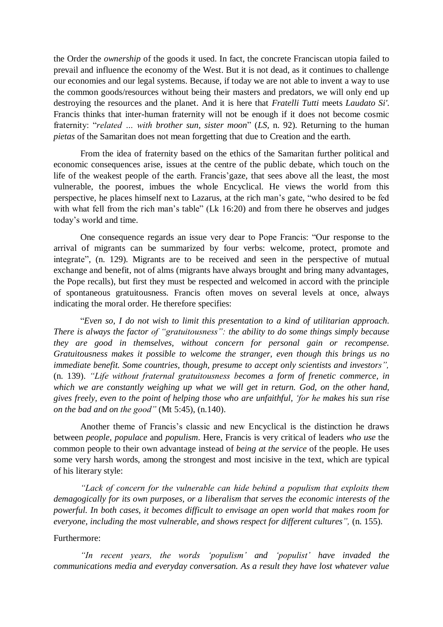the Order the *ownership* of the goods it used. In fact, the concrete Franciscan utopia failed to prevail and influence the economy of the West. But it is not dead, as it continues to challenge our economies and our legal systems. Because, if today we are not able to invent a way to use the common goods/resources without being their masters and predators, we will only end up destroying the resources and the planet. And it is here that *Fratelli Tutti* meets *Laudato Si'*. Francis thinks that inter-human fraternity will not be enough if it does not become cosmic fraternity: "*related … with brother sun, sister moon*" (*LS*, n. 92). Returning to the human *pietas* of the Samaritan does not mean forgetting that due to Creation and the earth.

From the idea of fraternity based on the ethics of the Samaritan further political and economic consequences arise, issues at the centre of the public debate, which touch on the life of the weakest people of the earth. Francis'gaze, that sees above all the least, the most vulnerable, the poorest, imbues the whole Encyclical. He views the world from this perspective, he places himself next to Lazarus, at the rich man's gate, "who desired to be fed with what fell from the rich man's table" (Lk 16:20) and from there he observes and judges today's world and time.

One consequence regards an issue very dear to Pope Francis: "Our response to the arrival of migrants can be summarized by four verbs: welcome, protect, promote and integrate", (n. 129). Migrants are to be received and seen in the perspective of mutual exchange and benefit, not of alms (migrants have always brought and bring many advantages, the Pope recalls), but first they must be respected and welcomed in accord with the principle of spontaneous gratuitousness. Francis often moves on several levels at once, always indicating the moral order. He therefore specifies:

"*Even so, I do not wish to limit this presentation to a kind of utilitarian approach. There is always the factor of "gratuitousness": the ability to do some things simply because they are good in themselves, without concern for personal gain or recompense. Gratuitousness makes it possible to welcome the stranger, even though this brings us no immediate benefit. Some countries, though, presume to accept only scientists and investors",* (n. 139). *"Life without fraternal gratuitousness becomes a form of frenetic commerce, in which we are constantly weighing up what we will get in return. God, on the other hand, gives freely, even to the point of helping those who are unfaithful, 'for he makes his sun rise on the bad and on the good"* (Mt 5:45), (n.140).

Another theme of Francis's classic and new Encyclical is the distinction he draws between *people, populace* and *populism*. Here, Francis is very critical of leaders *who use* the common people to their own advantage instead of *being at the service* of the people. He uses some very harsh words, among the strongest and most incisive in the text, which are typical of his literary style:

*"Lack of concern for the vulnerable can hide behind a populism that exploits them demagogically for its own purposes, or a liberalism that serves the economic interests of the powerful. In both cases, it becomes difficult to envisage an open world that makes room for everyone, including the most vulnerable, and shows respect for different cultures",* (n. 155).

## Furthermore:

*"In recent years, the words 'populism' and 'populist' have invaded the communications media and everyday conversation. As a result they have lost whatever value*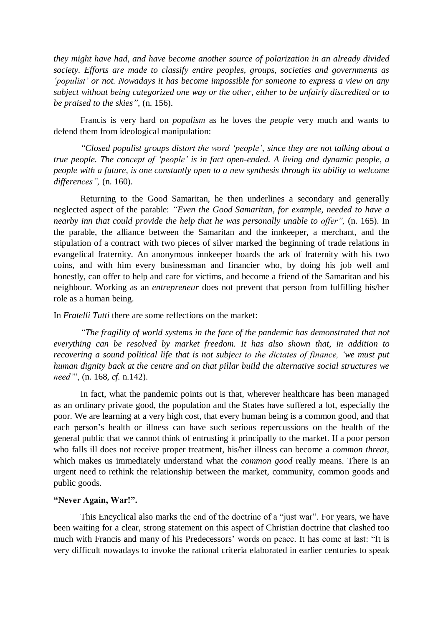*they might have had, and have become another source of polarization in an already divided society. Efforts are made to classify entire peoples, groups, societies and governments as 'populist' or not. Nowadays it has become impossible for someone to express a view on any subject without being categorized one way or the other, either to be unfairly discredited or to be praised to the skies",* (n. 156).

Francis is very hard on *populism* as he loves the *people* very much and wants to defend them from ideological manipulation:

*"Closed populist groups distort the word 'people', since they are not talking about a true people. The concept of 'people' is in fact open-ended. A living and dynamic people, a people with a future, is one constantly open to a new synthesis through its ability to welcome differences",* (n. 160).

Returning to the Good Samaritan, he then underlines a secondary and generally neglected aspect of the parable: *"Even the Good Samaritan, for example, needed to have a nearby inn that could provide the help that he was personally unable to offer",* (n. 165). In the parable, the alliance between the Samaritan and the innkeeper, a merchant, and the stipulation of a contract with two pieces of silver marked the beginning of trade relations in evangelical fraternity. An anonymous innkeeper boards the ark of fraternity with his two coins, and with him every businessman and financier who, by doing his job well and honestly, can offer to help and care for victims, and become a friend of the Samaritan and his neighbour. Working as an *entrepreneur* does not prevent that person from fulfilling his/her role as a human being.

In *Fratelli Tutti* there are some reflections on the market:

*"The fragility of world systems in the face of the pandemic has demonstrated that not everything can be resolved by market freedom. It has also shown that, in addition to recovering a sound political life that is not subject to the dictates of finance, 'we must put human dignity back at the centre and on that pillar build the alternative social structures we need'*", (n. 168, *cf.* n.142).

In fact, what the pandemic points out is that, wherever healthcare has been managed as an ordinary private good, the population and the States have suffered a lot, especially the poor. We are learning at a very high cost, that every human being is a common good, and that each person's health or illness can have such serious repercussions on the health of the general public that we cannot think of entrusting it principally to the market. If a poor person who falls ill does not receive proper treatment, his/her illness can become a *common threat*, which makes us immediately understand what the *common good* really means. There is an urgent need to rethink the relationship between the market, community, common goods and public goods.

### **"Never Again, War!".**

This Encyclical also marks the end of the doctrine of a "just war". For years, we have been waiting for a clear, strong statement on this aspect of Christian doctrine that clashed too much with Francis and many of his Predecessors' words on peace. It has come at last: "It is very difficult nowadays to invoke the rational criteria elaborated in earlier centuries to speak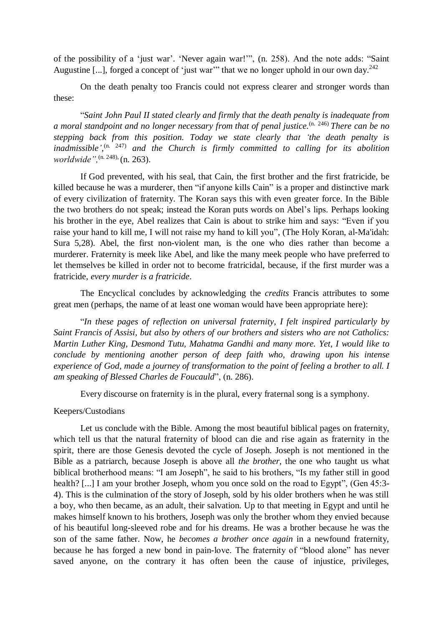of the possibility of a 'just war'. 'Never again war!'", (n. 258). And the note adds: "Saint Augustine [...], forged a concept of 'just war'" that we no longer uphold in our own day.<sup>242</sup>

On the death penalty too Francis could not express clearer and stronger words than these:

"*Saint John Paul II stated clearly and firmly that the death penalty is inadequate from a moral standpoint and no longer necessary from that of penal justice.* (n. 246) *There can be no stepping back from this position. Today we state clearly that 'the death penalty is*  inadmissible',<sup>(n. 247)</sup> and the Church is firmly committed to calling for its abolition *worldwide",*(n. 248), (n. 263).

If God prevented, with his seal, that Cain, the first brother and the first fratricide, be killed because he was a murderer, then "if anyone kills Cain" is a proper and distinctive mark of every civilization of fraternity. The Koran says this with even greater force. In the Bible the two brothers do not speak; instead the Koran puts words on Abel's lips. Perhaps looking his brother in the eye, Abel realizes that Cain is about to strike him and says: "Even if you raise your hand to kill me, I will not raise my hand to kill you", (The Holy Koran, al-Ma'idah: Sura 5,28). Abel, the first non-violent man, is the one who dies rather than become a murderer. Fraternity is meek like Abel, and like the many meek people who have preferred to let themselves be killed in order not to become fratricidal, because, if the first murder was a fratricide, *every murder is a fratricide*.

The Encyclical concludes by acknowledging the *credits* Francis attributes to some great men (perhaps, the name of at least one woman would have been appropriate here):

"*In these pages of reflection on universal fraternity, I felt inspired particularly by Saint Francis of Assisi, but also by others of our brothers and sisters who are not Catholics: Martin Luther King, Desmond Tutu, Mahatma Gandhi and many more. Yet, I would like to conclude by mentioning another person of deep faith who, drawing upon his intense experience of God, made a journey of transformation to the point of feeling a brother to all. I am speaking of Blessed Charles de Foucauld*", (n. 286).

Every discourse on fraternity is in the plural, every fraternal song is a symphony.

#### Keepers/Custodians

Let us conclude with the Bible. Among the most beautiful biblical pages on fraternity, which tell us that the natural fraternity of blood can die and rise again as fraternity in the spirit, there are those Genesis devoted the cycle of Joseph. Joseph is not mentioned in the Bible as a patriarch, because Joseph is above all *the brother*, the one who taught us what biblical brotherhood means: "I am Joseph", he said to his brothers, "Is my father still in good health? [...] I am your brother Joseph, whom you once sold on the road to Egypt", (Gen 45:3-4). This is the culmination of the story of Joseph, sold by his older brothers when he was still a boy, who then became, as an adult, their salvation. Up to that meeting in Egypt and until he makes himself known to his brothers, Joseph was only the brother whom they envied because of his beautiful long-sleeved robe and for his dreams. He was a brother because he was the son of the same father. Now, he *becomes a brother once again* in a newfound fraternity, because he has forged a new bond in pain-love. The fraternity of "blood alone" has never saved anyone, on the contrary it has often been the cause of injustice, privileges,